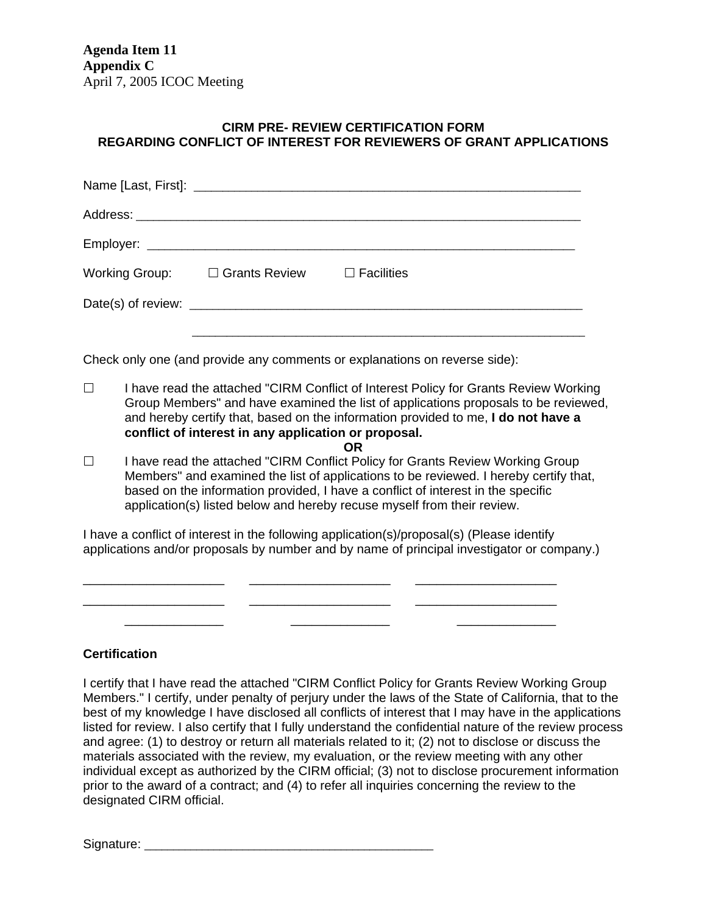**Agenda Item 11 Appendix C**  April 7, 2005 ICOC Meeting

## **CIRM PRE- REVIEW CERTIFICATION FORM REGARDING CONFLICT OF INTEREST FOR REVIEWERS OF GRANT APPLICATIONS**

| Working Group: $\square$ Grants Review $\square$ Facilities |  |  |
|-------------------------------------------------------------|--|--|
|                                                             |  |  |
|                                                             |  |  |

Check only one (and provide any comments or explanations on reverse side):

- □ I have read the attached "CIRM Conflict of Interest Policy for Grants Review Working Group Members" and have examined the list of applications proposals to be reviewed, and hereby certify that, based on the information provided to me, **I do not have a conflict of interest in any application or proposal. OR**
- $\Box$  I have read the attached "CIRM Conflict Policy for Grants Review Working Group Members" and examined the list of applications to be reviewed. I hereby certify that, based on the information provided, I have a conflict of interest in the specific application(s) listed below and hereby recuse myself from their review.

I have a conflict of interest in the following application(s)/proposal(s) (Please identify applications and/or proposals by number and by name of principal investigator or company.)

\_\_\_\_\_\_\_\_\_\_\_\_\_\_\_\_\_\_\_\_ \_\_\_\_\_\_\_\_\_\_\_\_\_\_\_\_\_\_\_\_ \_\_\_\_\_\_\_\_\_\_\_\_\_\_\_\_\_\_\_\_ \_\_\_\_\_\_\_\_\_\_\_\_\_\_\_\_\_\_\_\_ \_\_\_\_\_\_\_\_\_\_\_\_\_\_\_\_\_\_\_\_ \_\_\_\_\_\_\_\_\_\_\_\_\_\_\_\_\_\_\_\_  $\overline{\phantom{a}}$  ,  $\overline{\phantom{a}}$  ,  $\overline{\phantom{a}}$  ,  $\overline{\phantom{a}}$  ,  $\overline{\phantom{a}}$  ,  $\overline{\phantom{a}}$  ,  $\overline{\phantom{a}}$  ,  $\overline{\phantom{a}}$  ,  $\overline{\phantom{a}}$  ,  $\overline{\phantom{a}}$  ,  $\overline{\phantom{a}}$  ,  $\overline{\phantom{a}}$  ,  $\overline{\phantom{a}}$  ,  $\overline{\phantom{a}}$  ,  $\overline{\phantom{a}}$  ,  $\overline{\phantom{a}}$ 

## **Certification**

I certify that I have read the attached "CIRM Conflict Policy for Grants Review Working Group Members." I certify, under penalty of perjury under the laws of the State of California, that to the best of my knowledge I have disclosed all conflicts of interest that I may have in the applications listed for review. I also certify that I fully understand the confidential nature of the review process and agree: (1) to destroy or return all materials related to it; (2) not to disclose or discuss the materials associated with the review, my evaluation, or the review meeting with any other individual except as authorized by the CIRM official; (3) not to disclose procurement information prior to the award of a contract; and (4) to refer all inquiries concerning the review to the designated CIRM official.

Signature: \_\_\_\_\_\_\_\_\_\_\_\_\_\_\_\_\_\_\_\_\_\_\_\_\_\_\_\_\_\_\_\_\_\_\_\_\_\_\_\_\_\_\_\_\_\_\_\_\_\_